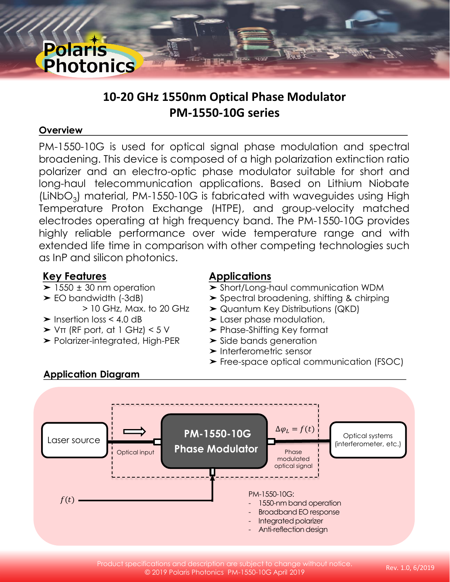# **10-20 GHz 1550nm Optical Phase Modulator PM-1550-10G series**

#### **Overview**

**Polaris**<br>Photonics

PM-1550-10G is used for optical signal phase modulation and spectral broadening. This device is composed of a high polarization extinction ratio polarizer and an electro-optic phase modulator suitable for short and long-haul telecommunication applications. Based on Lithium Niobate (LiNbO<sub>3</sub>) material, PM-1550-10G is fabricated with waveguides using High Temperature Proton Exchange (HTPE), and group-velocity matched electrodes operating at high frequency band. The PM-1550-10G provides highly reliable performance over wide temperature range and with extended life time in comparison with other competing technologies such as InP and silicon photonics.

## **Key Features**

- $\blacktriangleright$  1550  $\pm$  30 nm operation
- ➤ EO bandwidth (-3dB) > 10 GHz, Max. to 20 GHz
- ➤ Insertion loss < 4.0 dB
- $\triangleright$  V $\pi$  (RF port, at 1 GHz) < 5 V
- ➤ Polarizer-integrated, High-PER

# **Applications**

- ➤ Short/Long-haul communication WDM
- ➤ Spectral broadening, shifting & chirping
- ➤ Quantum Key Distributions (QKD)
- ➤ Laser phase modulation,
- ➤ Phase-Shifting Key format
- **► Side bands generation**
- ➤ Interferometric sensor
- ➤ Free-space optical communication (FSOC)



Product specifications and description are subject to change without notice. © 2019 Polaris Photonics PM-1550-10G April 2019

# **Application Diagram**